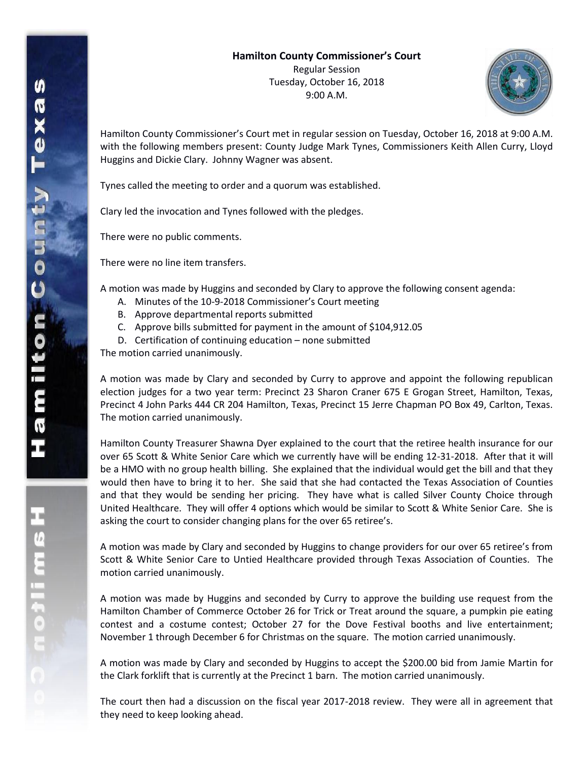

Hamilton County Commissioner's Court met in regular session on Tuesday, October 16, 2018 at 9:00 A.M. with the following members present: County Judge Mark Tynes, Commissioners Keith Allen Curry, Lloyd Huggins and Dickie Clary. Johnny Wagner was absent.

Tynes called the meeting to order and a quorum was established.

Clary led the invocation and Tynes followed with the pledges.

There were no public comments.

There were no line item transfers.

A motion was made by Huggins and seconded by Clary to approve the following consent agenda:

- A. Minutes of the 10-9-2018 Commissioner's Court meeting
- B. Approve departmental reports submitted
- C. Approve bills submitted for payment in the amount of \$104,912.05
- D. Certification of continuing education none submitted

The motion carried unanimously.

A motion was made by Clary and seconded by Curry to approve and appoint the following republican election judges for a two year term: Precinct 23 Sharon Craner 675 E Grogan Street, Hamilton, Texas, Precinct 4 John Parks 444 CR 204 Hamilton, Texas, Precinct 15 Jerre Chapman PO Box 49, Carlton, Texas. The motion carried unanimously.

Hamilton County Treasurer Shawna Dyer explained to the court that the retiree health insurance for our over 65 Scott & White Senior Care which we currently have will be ending 12-31-2018. After that it will be a HMO with no group health billing. She explained that the individual would get the bill and that they would then have to bring it to her. She said that she had contacted the Texas Association of Counties and that they would be sending her pricing. They have what is called Silver County Choice through United Healthcare. They will offer 4 options which would be similar to Scott & White Senior Care. She is asking the court to consider changing plans for the over 65 retiree's.

A motion was made by Clary and seconded by Huggins to change providers for our over 65 retiree's from Scott & White Senior Care to Untied Healthcare provided through Texas Association of Counties. The motion carried unanimously.

A motion was made by Huggins and seconded by Curry to approve the building use request from the Hamilton Chamber of Commerce October 26 for Trick or Treat around the square, a pumpkin pie eating contest and a costume contest; October 27 for the Dove Festival booths and live entertainment; November 1 through December 6 for Christmas on the square. The motion carried unanimously.

A motion was made by Clary and seconded by Huggins to accept the \$200.00 bid from Jamie Martin for the Clark forklift that is currently at the Precinct 1 barn. The motion carried unanimously.

The court then had a discussion on the fiscal year 2017-2018 review. They were all in agreement that they need to keep looking ahead.